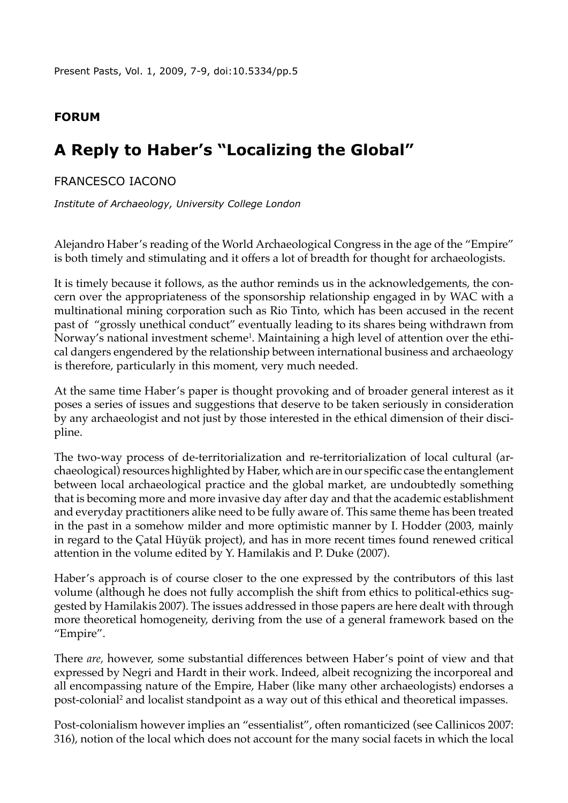Present Pasts, Vol. 1, 2009, 7-9, doi:[10.5334/pp.5](http://dx.doi.org/10.5334/pp.5)

## **Forum**

# **A Reply to Haber's "Localizing the Global"**

### Francesco Iacono

*Institute of Archaeology, University College London*

Alejandro Haber's reading of the World Archaeological Congress in the age of the "Empire" is both timely and stimulating and it offers a lot of breadth for thought for archaeologists.

It is timely because it follows, as the author reminds us in the acknowledgements, the concern over the appropriateness of the sponsorship relationship engaged in by WAC with a multinational mining corporation such as Rio Tinto, which has been accused in the recent past of "grossly unethical conduct" eventually leading to its shares being withdrawn from Norway's national investment scheme<sup>1</sup>. Maintaining a high level of attention over the ethical dangers engendered by the relationship between international business and archaeology is therefore, particularly in this moment, very much needed.

At the same time Haber's paper is thought provoking and of broader general interest as it poses a series of issues and suggestions that deserve to be taken seriously in consideration by any archaeologist and not just by those interested in the ethical dimension of their discipline.

The two-way process of de-territorialization and re-territorialization of local cultural (archaeological) resources highlighted by Haber, which are in our specific case the entanglement between local archaeological practice and the global market, are undoubtedly something that is becoming more and more invasive day after day and that the academic establishment and everyday practitioners alike need to be fully aware of. This same theme has been treated in the past in a somehow milder and more optimistic manner by I. Hodder (2003, mainly in regard to the Çatal Hüyük project), and has in more recent times found renewed critical attention in the volume edited by Y. Hamilakis and P. Duke (2007).

Haber's approach is of course closer to the one expressed by the contributors of this last volume (although he does not fully accomplish the shift from ethics to political-ethics suggested by Hamilakis 2007). The issues addressed in those papers are here dealt with through more theoretical homogeneity, deriving from the use of a general framework based on the "Empire".

There *are,* however, some substantial differences between Haber's point of view and that expressed by Negri and Hardt in their work. Indeed, albeit recognizing the incorporeal and all encompassing nature of the Empire, Haber (like many other archaeologists) endorses a post-colonial<sup>2</sup> and localist standpoint as a way out of this ethical and theoretical impasses.

Post-colonialism however implies an "essentialist", often romanticized (see Callinicos 2007: 316), notion of the local which does not account for the many social facets in which the local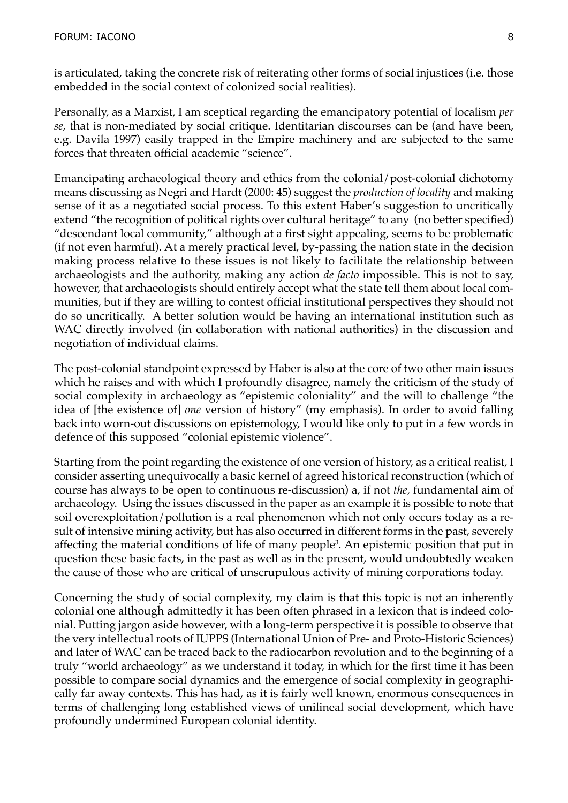is articulated, taking the concrete risk of reiterating other forms of social injustices (i.e. those embedded in the social context of colonized social realities).

Personally, as a Marxist, I am sceptical regarding the emancipatory potential of localism *per se,* that is non-mediated by social critique. Identitarian discourses can be (and have been, e.g. Davila 1997) easily trapped in the Empire machinery and are subjected to the same forces that threaten official academic "science".

Emancipating archaeological theory and ethics from the colonial/post-colonial dichotomy means discussing as Negri and Hardt (2000: 45) suggest the *production of locality* and making sense of it as a negotiated social process. To this extent Haber's suggestion to uncritically extend "the recognition of political rights over cultural heritage" to any (no better specified) "descendant local community," although at a first sight appealing, seems to be problematic (if not even harmful). At a merely practical level, by-passing the nation state in the decision making process relative to these issues is not likely to facilitate the relationship between archaeologists and the authority, making any action *de facto* impossible. This is not to say, however, that archaeologists should entirely accept what the state tell them about local communities, but if they are willing to contest official institutional perspectives they should not do so uncritically. A better solution would be having an international institution such as WAC directly involved (in collaboration with national authorities) in the discussion and negotiation of individual claims.

The post-colonial standpoint expressed by Haber is also at the core of two other main issues which he raises and with which I profoundly disagree, namely the criticism of the study of social complexity in archaeology as "epistemic coloniality" and the will to challenge "the idea of [the existence of] *one* version of history" (my emphasis). In order to avoid falling back into worn-out discussions on epistemology, I would like only to put in a few words in defence of this supposed "colonial epistemic violence".

Starting from the point regarding the existence of one version of history, as a critical realist, I consider asserting unequivocally a basic kernel of agreed historical reconstruction (which of course has always to be open to continuous re-discussion) a, if not *the,* fundamental aim of archaeology. Using the issues discussed in the paper as an example it is possible to note that soil overexploitation/pollution is a real phenomenon which not only occurs today as a result of intensive mining activity, but has also occurred in different forms in the past, severely affecting the material conditions of life of many people<sup>3</sup>. An epistemic position that put in question these basic facts, in the past as well as in the present, would undoubtedly weaken the cause of those who are critical of unscrupulous activity of mining corporations today.

Concerning the study of social complexity, my claim is that this topic is not an inherently colonial one although admittedly it has been often phrased in a lexicon that is indeed colonial. Putting jargon aside however, with a long-term perspective it is possible to observe that the very intellectual roots of IUPPS (International Union of Pre- and Proto-Historic Sciences) and later of WAC can be traced back to the radiocarbon revolution and to the beginning of a truly "world archaeology" as we understand it today, in which for the first time it has been possible to compare social dynamics and the emergence of social complexity in geographically far away contexts. This has had, as it is fairly well known, enormous consequences in terms of challenging long established views of unilineal social development, which have profoundly undermined European colonial identity.